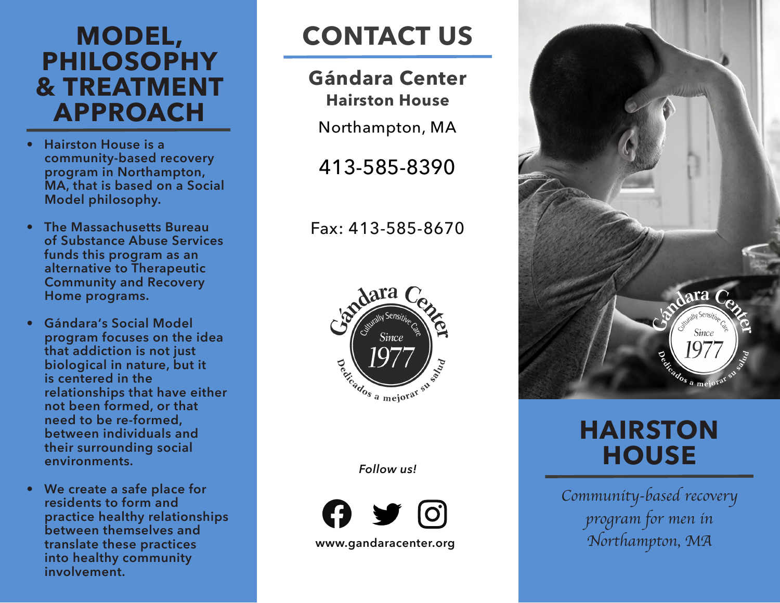# **MODEL, PHILOSOPHY & TREATMENT APPROACH**

- **• Hairston House is a community-based recovery program in Northampton, MA, that is based on a Social Model philosophy.**
- **• The Massachusetts Bureau of Substance Abuse Services funds this program as an alternative to Therapeutic Community and Recovery Home programs.**
- **• Gándara's Social Model program focuses on the idea that addiction is not just biological in nature, but it is centered in the relationships that have either not been formed, or that need to be re-formed, between individuals and their surrounding social environments.**
- **• We create a safe place for residents to form and practice healthy relationships between themselves and translate these practices into healthy community involvement.**

# **CONTACT US**

**Gándara Center Hairston House**

Northampton, MA

413-585-8390

Fax: 413-585-8670



*Follow us!*





# **HAIRSTON HOUSE**

*Community-based recovery program for men in Northampton, MA*